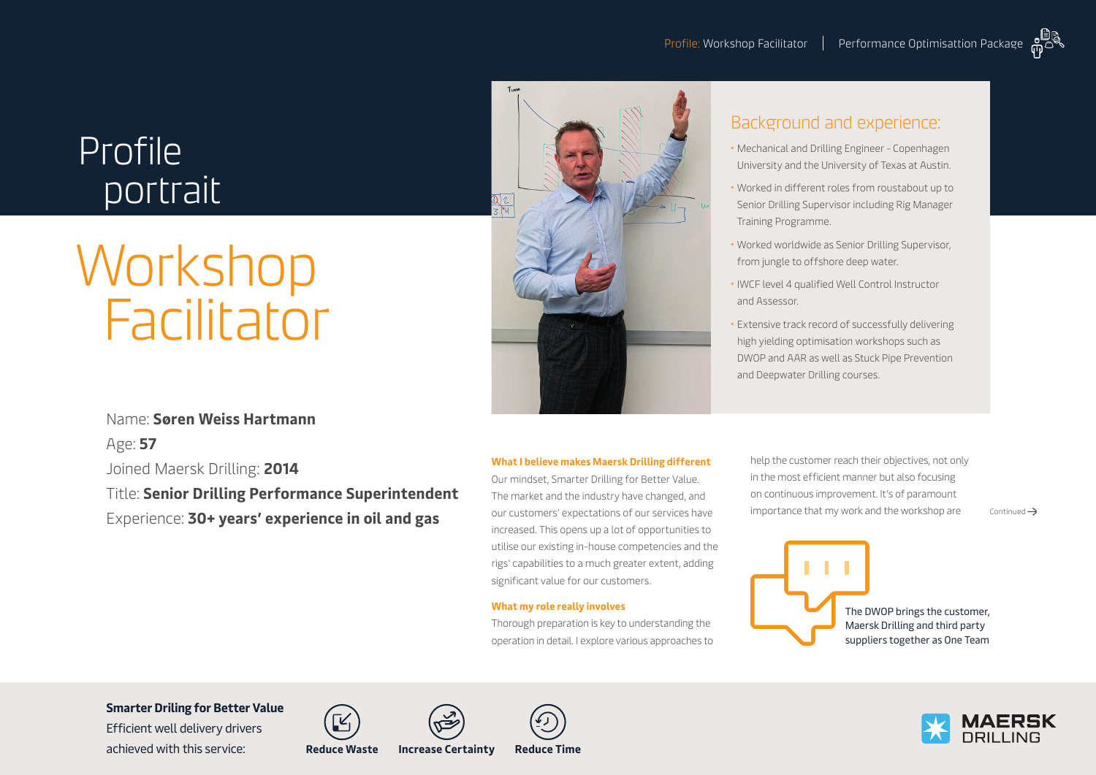# Profile portrait

# Workshop **Facilitator**



## Background and experience:

- Mechanical and Drilling Engineer Copenhagen University and the University of Texas at Austin.
- Worked in different roles from roustabout up to Senior Drilling Supervisor including Rig Manager Training Programme.
- Worked worldwide as Senior Drilling Supervisor, from jungle to offshore deep water.
- IWCF level 4 qualified Well Control Instructor and Assessor.
- Extensive track record of successfully delivering high yielding optimisation workshops such as DWOP and AAR as well as Stuck Pipe Prevention and Deepwater Drilling courses.

### Name: **Søren Weiss Hartmann**

Age: **57** Joined Maersk Drilling: **2014** Title: **Senior Drilling Performance Superintendent** Experience: **30+ years' experience in oil and gas**

#### **What I believe makes Maersk Drilling different**

Our mindset, Smarter Drilling for Better Value. The market and the industry have changed, and our customers' expectations of our services have increased. This opens up a lot of opportunities to utilise our existing in-house competencies and the rigs' capabilities to a much greater extent, adding significant value for our customers.

#### **What my role really involves**

Thorough preparation is key to understanding the operation in detail. I explore various approaches to help the customer reach their objectives, not only in the most efficient manner but also focusing on continuous improvement. It's of paramount importance that my work and the workshop are  $\longrightarrow$  Continued  $\rightarrow$ 



The DWOP brings the customer, Maersk Drilling and third party suppliers together as One Team

**Smarter Driling for Better Value** 

Efficient well delivery drivers achieved with this service: **Reduce Waste Increase Certainty Reduce Time**